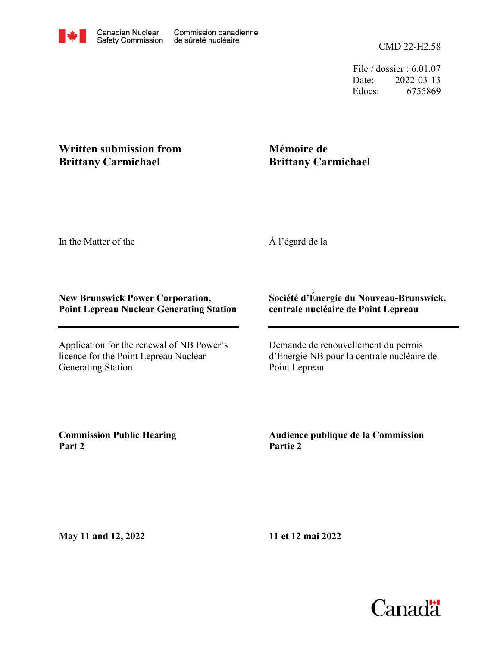CMD 22-H2.58

File / dossier : 6.01.07 Date: 2022-03-13 Edocs: 6755869

## **Written submission from Brittany Carmichael**

## **Mémoire de Brittany Carmichael**

In the Matter of the

À l'égard de la

## **New Brunswick Power Corporation, Point Lepreau Nuclear Generating Station**

Application for the renewal of NB Power's licence for the Point Lepreau Nuclear Generating Station

## **Société d'Énergie du Nouveau-Brunswick, centrale nucléaire de Point Lepreau**

Demande de renouvellement du permis d'Énergie NB pour la centrale nucléaire de Point Lepreau

**Commission Public Hearing Part 2**

**Audience publique de la Commission Partie 2**

**May 11 and 12, 2022**

**11 et 12 mai 2022**